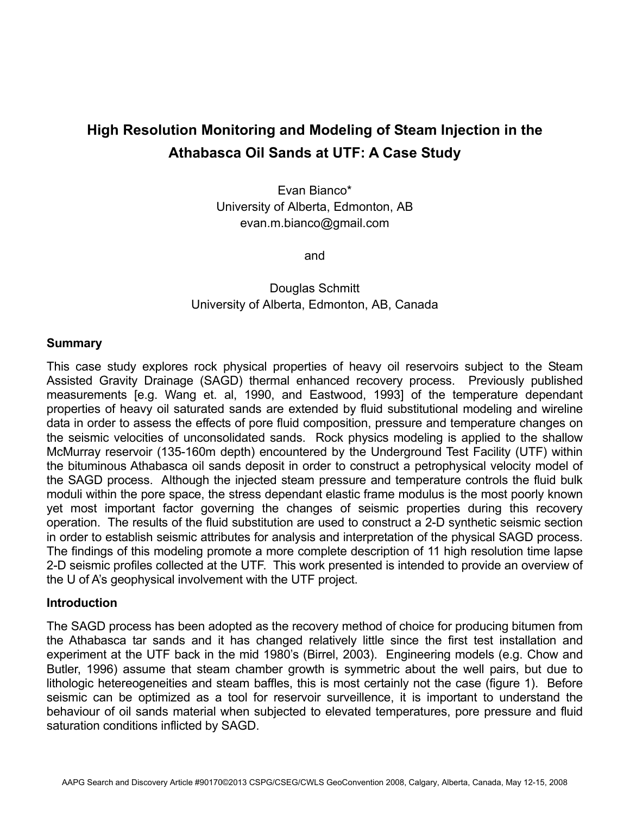# **High Resolution Monitoring and Modeling of Steam Injection in the Athabasca Oil Sands at UTF: A Case Study**

Evan Bianco\* University of Alberta, Edmonton, AB evan.m.bianco@gmail.com

and

# Douglas Schmitt University of Alberta, Edmonton, AB, Canada

#### **Summary**

This case study explores rock physical properties of heavy oil reservoirs subject to the Steam Assisted Gravity Drainage (SAGD) thermal enhanced recovery process. Previously published measurements [e.g. Wang et. al, 1990, and Eastwood, 1993] of the temperature dependant properties of heavy oil saturated sands are extended by fluid substitutional modeling and wireline data in order to assess the effects of pore fluid composition, pressure and temperature changes on the seismic velocities of unconsolidated sands. Rock physics modeling is applied to the shallow McMurray reservoir (135-160m depth) encountered by the Underground Test Facility (UTF) within the bituminous Athabasca oil sands deposit in order to construct a petrophysical velocity model of the SAGD process. Although the injected steam pressure and temperature controls the fluid bulk moduli within the pore space, the stress dependant elastic frame modulus is the most poorly known yet most important factor governing the changes of seismic properties during this recovery operation. The results of the fluid substitution are used to construct a 2-D synthetic seismic section in order to establish seismic attributes for analysis and interpretation of the physical SAGD process. The findings of this modeling promote a more complete description of 11 high resolution time lapse 2-D seismic profiles collected at the UTF. This work presented is intended to provide an overview of the U of A's geophysical involvement with the UTF project.

#### **Introduction**

The SAGD process has been adopted as the recovery method of choice for producing bitumen from the Athabasca tar sands and it has changed relatively little since the first test installation and experiment at the UTF back in the mid 1980's (Birrel, 2003). Engineering models (e.g. Chow and Butler, 1996) assume that steam chamber growth is symmetric about the well pairs, but due to lithologic hetereogeneities and steam baffles, this is most certainly not the case (figure 1). Before seismic can be optimized as a tool for reservoir surveillence, it is important to understand the behaviour of oil sands material when subjected to elevated temperatures, pore pressure and fluid saturation conditions inflicted by SAGD.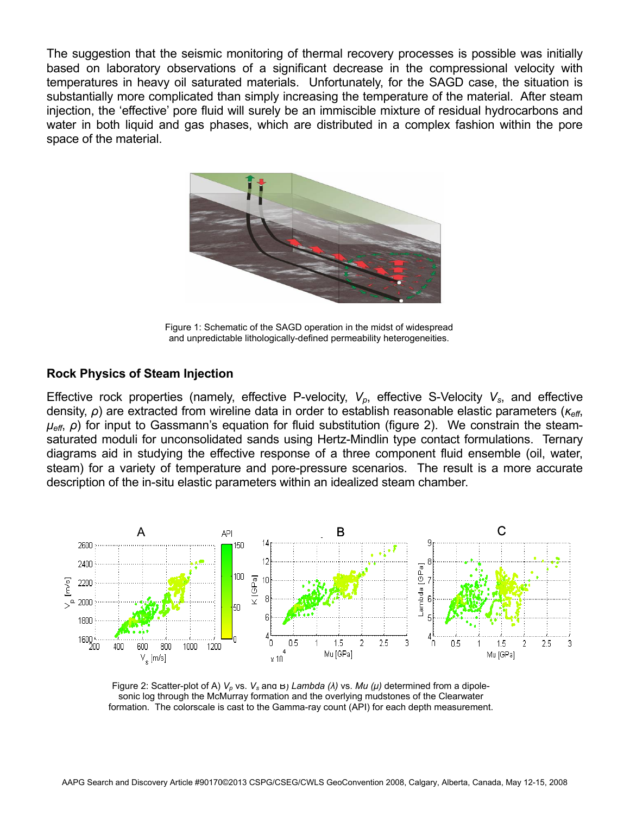The suggestion that the seismic monitoring of thermal recovery processes is possible was initially based on laboratory observations of a significant decrease in the compressional velocity with temperatures in heavy oil saturated materials. Unfortunately, for the SAGD case, the situation is substantially more complicated than simply increasing the temperature of the material. After steam injection, the 'effective' pore fluid will surely be an immiscible mixture of residual hydrocarbons and water in both liquid and gas phases, which are distributed in a complex fashion within the pore space of the material.



Figure 1: Schematic of the SAGD operation in the midst of widespread and unpredictable lithologically-defined permeability heterogeneities.

### **Rock Physics of Steam Injection**

Effective rock properties (namely, effective P-velocity,  $V_p$ , effective S-Velocity  $V_s$ , and effective density, *ρ*) are extracted from wireline data in order to establish reasonable elastic parameters (*κeff*, *μeff*, *ρ*) for input to Gassmann's equation for fluid substitution (figure 2). We constrain the steamsaturated moduli for unconsolidated sands using Hertz-Mindlin type contact formulations. Ternary diagrams aid in studying the effective response of a three component fluid ensemble (oil, water, steam) for a variety of temperature and pore-pressure scenarios. The result is a more accurate description of the in-situ elastic parameters within an idealized steam chamber.



Figure 2: Scatter-plot of A) *Vp* vs. *Vs* and B) *Lambda (λ)* vs. *Mu (μ)* determined from a dipolesonic log through the McMurray formation and the overlying mudstones of the Clearwater formation. The colorscale is cast to the Gamma-ray count (API) for each depth measurement.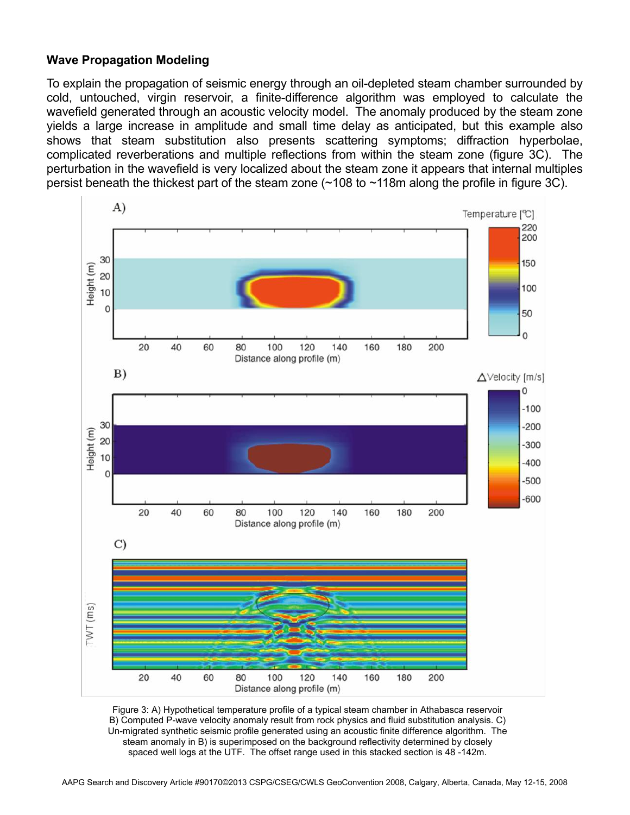# **Wave Propagation Modeling**

To explain the propagation of seismic energy through an oil-depleted steam chamber surrounded by cold, untouched, virgin reservoir, a finite-difference algorithm was employed to calculate the wavefield generated through an acoustic velocity model. The anomaly produced by the steam zone yields a large increase in amplitude and small time delay as anticipated, but this example also shows that steam substitution also presents scattering symptoms; diffraction hyperbolae, complicated reverberations and multiple reflections from within the steam zone (figure 3C). The perturbation in the wavefield is very localized about the steam zone it appears that internal multiples persist beneath the thickest part of the steam zone  $($  ~108 to ~118m along the profile in figure 3C).



Figure 3: A) Hypothetical temperature profile of a typical steam chamber in Athabasca reservoir B) Computed P-wave velocity anomaly result from rock physics and fluid substitution analysis. C) Un-migrated synthetic seismic profile generated using an acoustic finite difference algorithm. The steam anomaly in B) is superimposed on the background reflectivity determined by closely spaced well logs at the UTF. The offset range used in this stacked section is 48 -142m.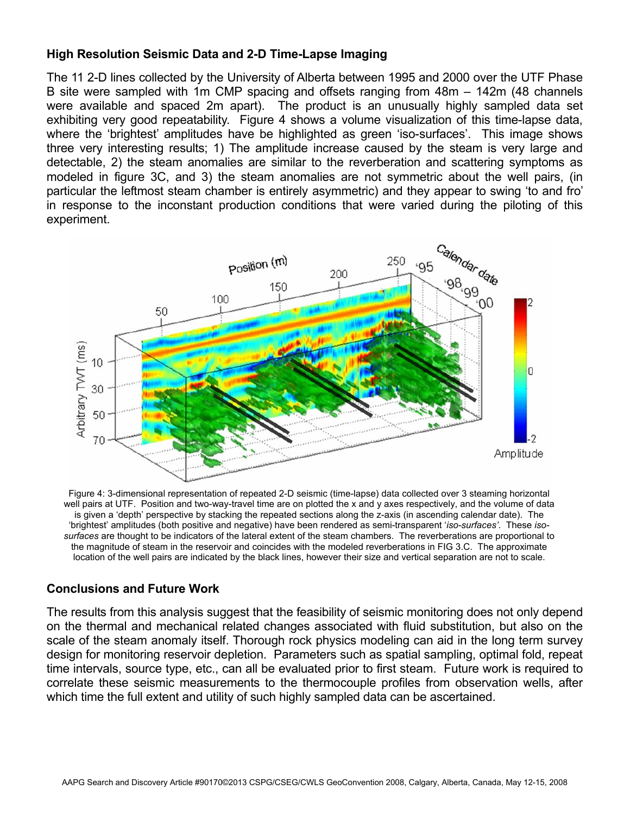# **High Resolution Seismic Data and 2-D Time-Lapse Imaging**

The 11 2-D lines collected by the University of Alberta between 1995 and 2000 over the UTF Phase B site were sampled with 1m CMP spacing and offsets ranging from 48m – 142m (48 channels were available and spaced 2m apart). The product is an unusually highly sampled data set exhibiting very good repeatability. Figure 4 shows a volume visualization of this time-lapse data, where the 'brightest' amplitudes have be highlighted as green 'iso-surfaces'. This image shows three very interesting results; 1) The amplitude increase caused by the steam is very large and detectable, 2) the steam anomalies are similar to the reverberation and scattering symptoms as modeled in figure 3C, and 3) the steam anomalies are not symmetric about the well pairs, (in particular the leftmost steam chamber is entirely asymmetric) and they appear to swing 'to and fro' in response to the inconstant production conditions that were varied during the piloting of this experiment.



Figure 4: 3-dimensional representation of repeated 2-D seismic (time-lapse) data collected over 3 steaming horizontal well pairs at UTF. Position and two-way-travel time are on plotted the x and y axes respectively, and the volume of data is given a 'depth' perspective by stacking the repeated sections along the z-axis (in ascending calendar date). The 'brightest' amplitudes (both positive and negative) have been rendered as semi-transparent '*iso-surfaces'*. These *isosurfaces* are thought to be indicators of the lateral extent of the steam chambers. The reverberations are proportional to the magnitude of steam in the reservoir and coincides with the modeled reverberations in FIG 3.C. The approximate location of the well pairs are indicated by the black lines, however their size and vertical separation are not to scale.

## **Conclusions and Future Work**

The results from this analysis suggest that the feasibility of seismic monitoring does not only depend on the thermal and mechanical related changes associated with fluid substitution, but also on the scale of the steam anomaly itself. Thorough rock physics modeling can aid in the long term survey design for monitoring reservoir depletion. Parameters such as spatial sampling, optimal fold, repeat time intervals, source type, etc., can all be evaluated prior to first steam. Future work is required to correlate these seismic measurements to the thermocouple profiles from observation wells, after which time the full extent and utility of such highly sampled data can be ascertained.